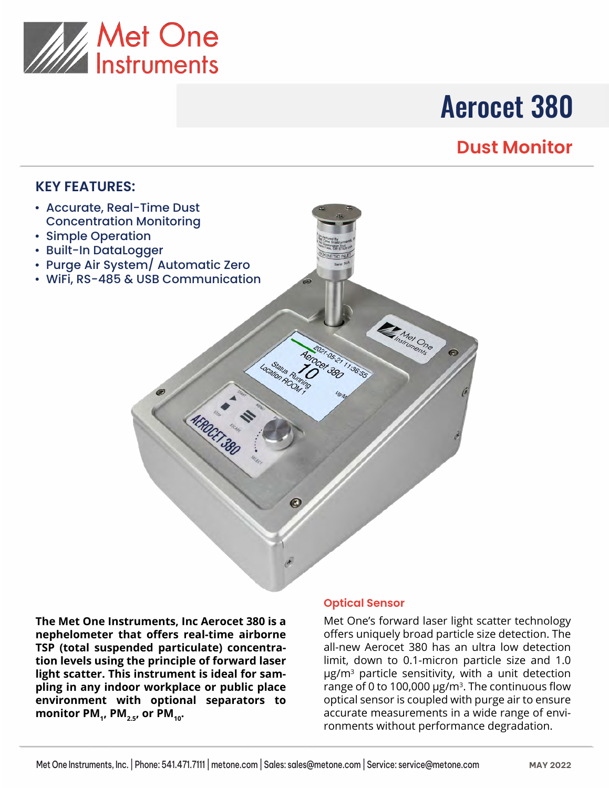

# Aerocet 380

# **Dust Monitor**

### **KEY FEATURES:**

- Accurate, Real-Time Dust Concentration Monitoring
- Simple Operation
- Built-In DataLogger
- Purge Air System/ Automatic Zero
- WiFi, RS-485 & USB Communication

**The Met One Instruments, Inc Aerocet 380 is a nephelometer that offers real-time airborne TSP (total suspended particulate) concentration levels using the principle of forward laser light scatter. This instrument is ideal for sampling in any indoor workplace or public place environment with optional separators to**  monitor PM<sub>1</sub>, PM<sub>2.5</sub>, or PM<sub>10</sub>.

#### **Optical Sensor**

05-21 1:36:55

Location Room

**AFROCKT 380** 

**CEMPS ONE** 

Met One's forward laser light scatter technology offers uniquely broad particle size detection. The all-new Aerocet 380 has an ultra low detection limit, down to 0.1-micron particle size and 1.0 µg/m<sup>3</sup> particle sensitivity, with a unit detection range of 0 to 100,000  $\mu$ g/m<sup>3</sup>. The continuous flow optical sensor is coupled with purge air to ensure accurate measurements in a wide range of environments without performance degradation.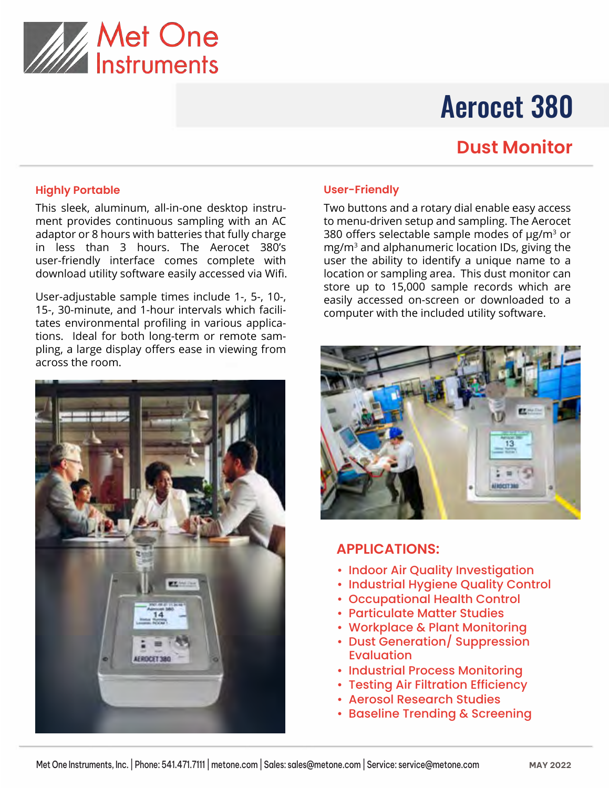

# Aerocet 380

### **Dust Monitor**

#### **Highly Portable**

This sleek, aluminum, all-in-one desktop instrument provides continuous sampling with an AC adaptor or 8 hours with batteries that fully charge in less than 3 hours. The Aerocet 380's user-friendly interface comes complete with download utility software easily accessed via Wifi.

User-adjustable sample times include 1-, 5-, 10-, 15-, 30-minute, and 1-hour intervals which facilitates environmental profiling in various applications. Ideal for both long-term or remote sampling, a large display offers ease in viewing from across the room.



#### **User-Friendly**

Two buttons and a rotary dial enable easy access to menu-driven setup and sampling. The Aerocet 380 offers selectable sample modes of  $\mu$ g/m<sup>3</sup> or mg/m3 and alphanumeric location IDs, giving the user the ability to identify a unique name to a location or sampling area. This dust monitor can store up to 15,000 sample records which are easily accessed on-screen or downloaded to a computer with the included utility software.



#### **APPLICATIONS:**

- Indoor Air Quality Investigation
- Industrial Hygiene Quality Control
- Occupational Health Control
- Particulate Matter Studies
- Workplace & Plant Monitoring
- Dust Generation/ Suppression Evaluation
- Industrial Process Monitoring
- Testing Air Filtration Efficiency
- Aerosol Research Studies
- Baseline Trending & Screening